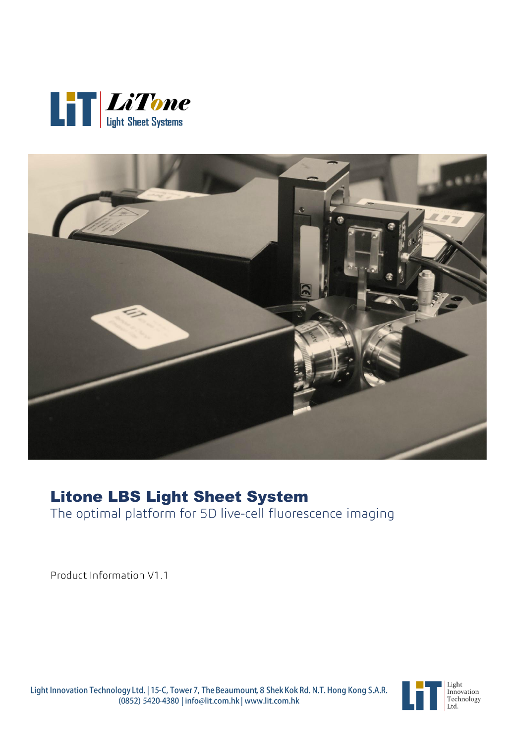



# **Litone LBS Light Sheet System**<br>The optimal platform for 5D live-cell fluorescence imaging

Product Information V1.1



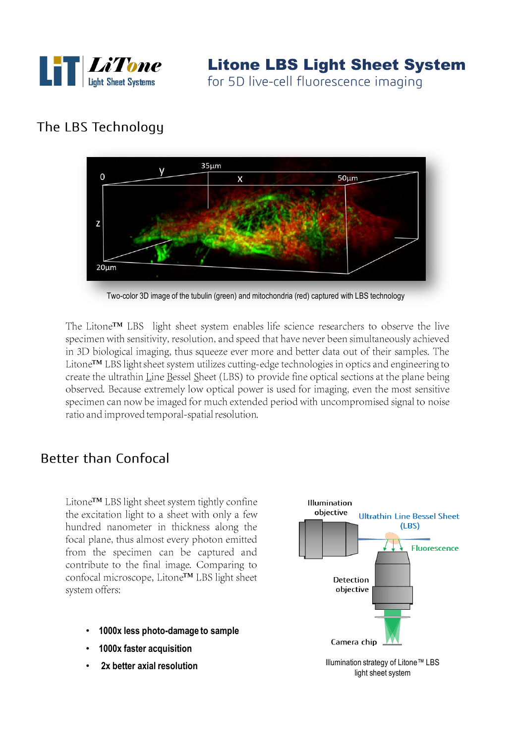

## The LBS Technology



Two-color 3D image of the tubulin (green) and mitochondria (red) captured with LBS technology

The Litone™ LBS light sheet system enables life science researchers to observe the live specimen with sensitivity, resolution, and speed that have never been simultaneously achieved in 3D biological imaging, thus squeeze ever more and better data out of their samples. The Litone™ LBS light sheet system utilizes cutting-edge technologies in optics and engineering to create the ultrathin Line Bessel Sheet (LBS) to provide fine optical sections at the plane being observed. Because extremely low optical power is used for imaging, even the most sensitive specimen can now be imaged for much extended period with uncompromised signal to noise ratio and improved temporal-spatial resolution.

### **Better than Confocal**

Litone™ LBS light sheet system tightly confine the excitation light to a sheet with only a few hundred nanometer in thickness along the focal plane, thus almost every photon emitted from the specimen can be captured and contribute to the final image. Comparing to confocal microscope, Litone<sup>TM</sup> LBS light sheet system offers:

- **1000x less photo-damage to sample**
- **1000x faster acquisition**
- **2x better axial resolution**



Illumination strategy of Litone™ LBS light sheet system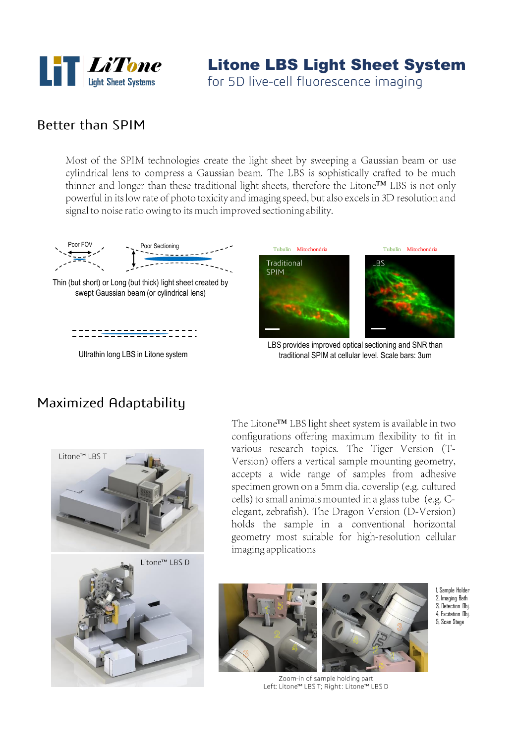

# Litone LBS Light Sheet System

for 5D live-cell fluorescence imaging

#### **Better than SPIM**

Most of the SPIM technologies create the light sheet by sweeping a Gaussian beam or use cylindrical lens to compress a Gaussian beam. The LBS is sophistically crafted to be much thinner and longer than these traditional light sheets, therefore the Litone™ LBS is not only powerful in its low rate of photo toxicity and imaging speed, but also excels in 3D resolution and signal to noise ratio owing to its much improved sectioning ability.



Thin (but short) or Long (but thick) light sheet created by swept Gaussian beam (or cylindrical lens)



Ultrathin long LBS in Litone system



LBS provides improved optical sectioning and SNR than traditional SPIM at cellular level. Scale bars: 3um

#### Maximized Adaptability





The Litone™ LBS light sheet system is available in two configurations offering maximum flexibility to fit in various research topics. The Tiger Version (T-Version) offers a vertical sample mounting geometry, accepts a wide range of samples from adhesive specimen grown on a 5mm dia. coverslip (e.g. cultured cells) to small animals mounted in a glass tube (e.g. Celegant, zebrafish). The Dragon Version (D-Version) holds the sample in a conventional horizontal geometry most suitable for high-resolution cellular imaging applications





1, Sample Holder 2, Imaging Bath 3, Detection Obj. 4, Excitation Obj. 5, Scan Stage

Zoom-in of sample holding part Left: Litone™ LBS T; Right: Litone™ LBS D